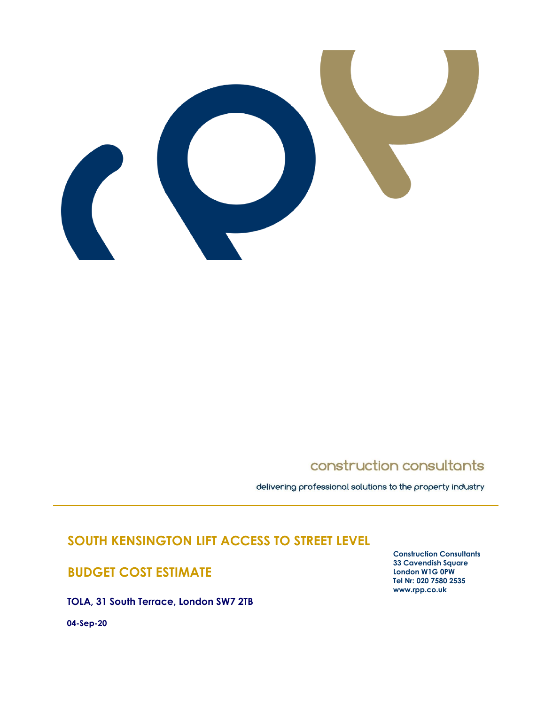

# construction consultants

delivering professional solutions to the property industry

# **SOUTH KENSINGTON LIFT ACCESS TO STREET LEVEL**

# **BUDGET COST ESTIMATE**

**TOLA, 31 South Terrace, London SW7 2TB**

**04-Sep-20**

**Construction Consultants 33 Cavendish Square London W1G 0PW Tel Nr: 020 7580 2535 www.rpp.co.uk**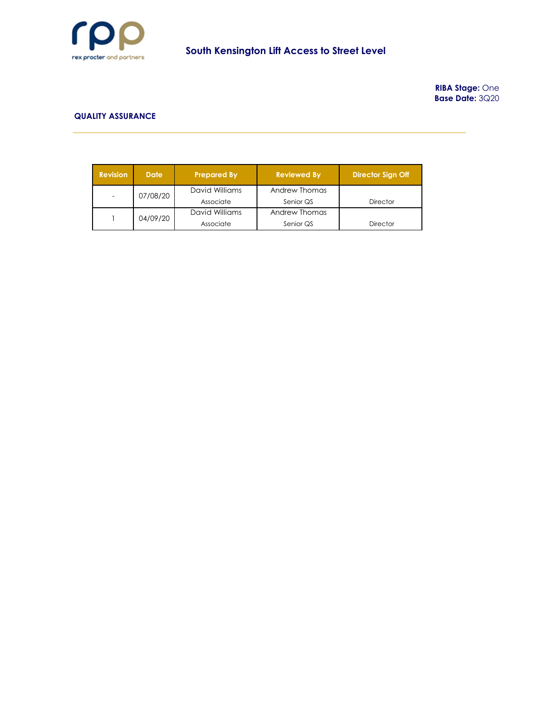

**RIBA Stage:** One **Base Date:** 3Q20

#### **QUALITY ASSURANCE**

| Revision | <b>Date</b>                | <b>Prepared By</b> | <b>Reviewed By</b> | <b>Director Sign Off</b> |
|----------|----------------------------|--------------------|--------------------|--------------------------|
|          | David Williams<br>07/08/20 |                    | Andrew Thomas      |                          |
|          |                            | Associate          | Senior QS          | <b>Director</b>          |
|          | 04/09/20                   | David Williams     | Andrew Thomas      |                          |
|          |                            | Associate          | Senior QS          | <b>Director</b>          |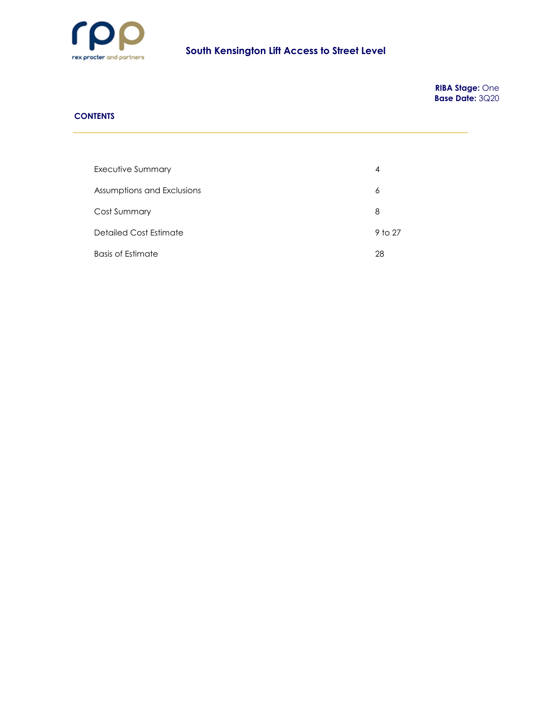

**RIBA Stage:** One **Base Date:** 3Q20

### **CONTENTS**

| Executive Summary          | 4       |
|----------------------------|---------|
| Assumptions and Exclusions | 6       |
| Cost Summary               | 8       |
| Detailed Cost Estimate     | 9 to 27 |
| <b>Basis of Estimate</b>   | 28      |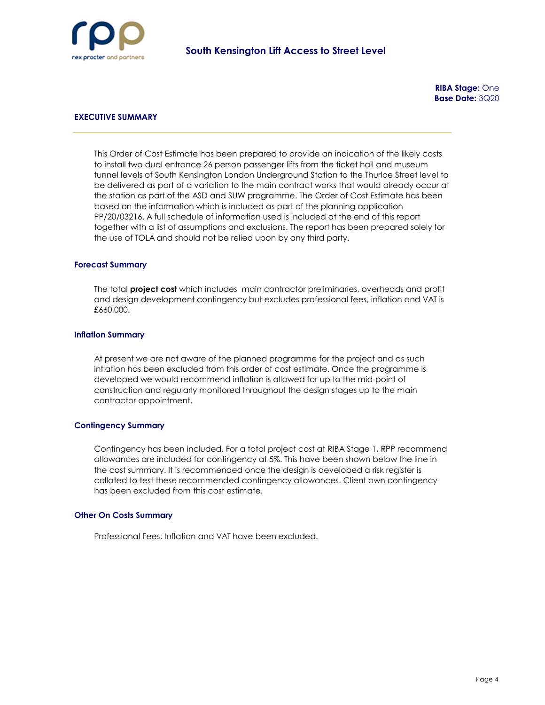

### **EXECUTIVE SUMMARY**

This Order of Cost Estimate has been prepared to provide an indication of the likely costs to install two dual entrance 26 person passenger lifts from the ticket hall and museum tunnel levels of South Kensington London Underground Station to the Thurloe Street level to be delivered as part of a variation to the main contract works that would already occur at the station as part of the ASD and SUW programme. The Order of Cost Estimate has been based on the information which is included as part of the planning application PP/20/03216. A full schedule of information used is included at the end of this report together with a list of assumptions and exclusions. The report has been prepared solely for the use of TOLA and should not be relied upon by any third party.

#### **Forecast Summary**

The total **project cost** which includes main contractor preliminaries, overheads and profit and design development contingency but excludes professional fees, inflation and VAT is £660,000.

#### **Inflation Summary**

At present we are not aware of the planned programme for the project and as such inflation has been excluded from this order of cost estimate. Once the programme is developed we would recommend inflation is allowed for up to the mid-point of construction and regularly monitored throughout the design stages up to the main contractor appointment.

#### **Contingency Summary**

Contingency has been included. For a total project cost at RIBA Stage 1, RPP recommend allowances are included for contingency at 5%. This have been shown below the line in the cost summary. It is recommended once the design is developed a risk register is collated to test these recommended contingency allowances. Client own contingency has been excluded from this cost estimate.

#### **Other On Costs Summary**

Professional Fees, Inflation and VAT have been excluded.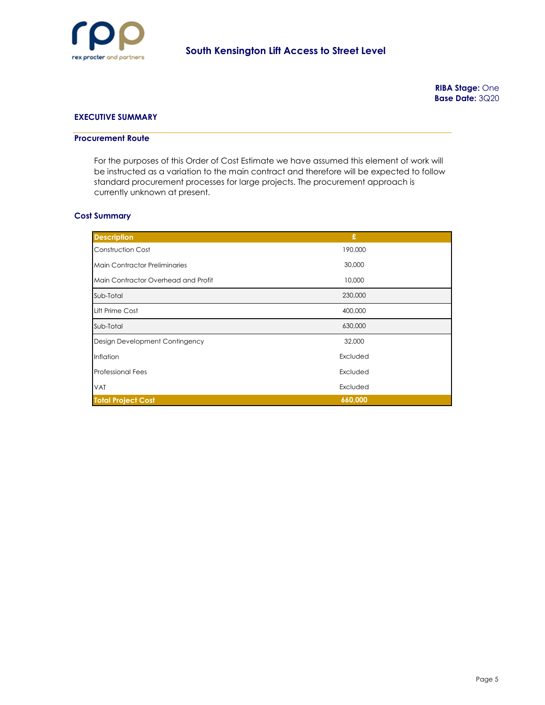

### **EXECUTIVE SUMMARY**

#### **Procurement Route**

For the purposes of this Order of Cost Estimate we have assumed this element of work will be instructed as a variation to the main contract and therefore will be expected to follow standard procurement processes for large projects. The procurement approach is currently unknown at present.

#### **Cost Summary**

| <b>Description</b>                   | £        |
|--------------------------------------|----------|
| Construction Cost                    | 190,000  |
| <b>Main Contractor Preliminaries</b> | 30,000   |
| Main Contractor Overhead and Profit  | 10,000   |
| Sub-Total                            | 230,000  |
| Lift Prime Cost                      | 400,000  |
| Sub-Total                            | 630,000  |
| Design Development Contingency       | 32,000   |
| Inflation                            | Excluded |
| <b>Professional Fees</b>             | Excluded |
| <b>VAT</b>                           | Excluded |
| <b>Total Project Cost</b>            | 660,000  |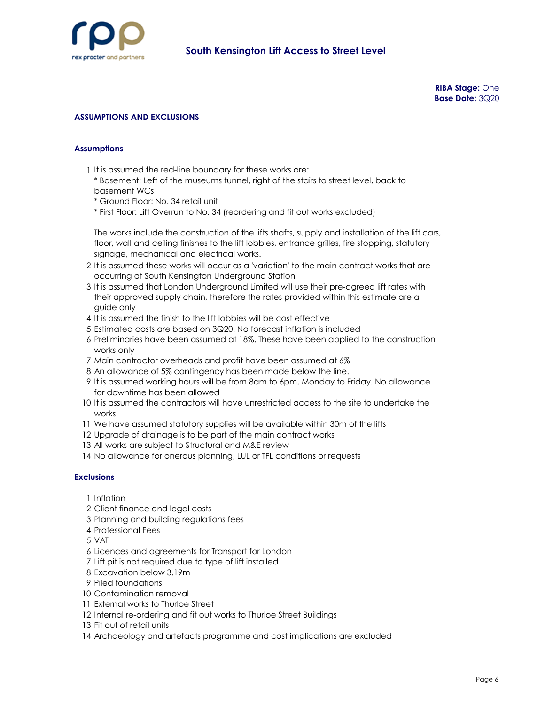

### **ASSUMPTIONS AND EXCLUSIONS**

#### **Assumptions**

- 1 It is assumed the red-line boundary for these works are:
	- \* Basement: Left of the museums tunnel, right of the stairs to street level, back to basement WCs
	- \* Ground Floor: No. 34 retail unit
	- \* First Floor: Lift Overrun to No. 34 (reordering and fit out works excluded)

The works include the construction of the lifts shafts, supply and installation of the lift cars, floor, wall and ceiling finishes to the lift lobbies, entrance grilles, fire stopping, statutory signage, mechanical and electrical works.

- 2 It is assumed these works will occur as a 'variation' to the main contract works that are occurring at South Kensington Underground Station
- 3 It is assumed that London Underground Limited will use their pre-agreed lift rates with their approved supply chain, therefore the rates provided within this estimate are a guide only
- 4 It is assumed the finish to the lift lobbies will be cost effective
- 5 Estimated costs are based on 3Q20. No forecast inflation is included
- 6 Preliminaries have been assumed at 18%. These have been applied to the construction works only
- 7 Main contractor overheads and profit have been assumed at 6%
- 8 An allowance of 5% contingency has been made below the line.
- 9 It is assumed working hours will be from 8am to 6pm, Monday to Friday. No allowance for downtime has been allowed
- 10 It is assumed the contractors will have unrestricted access to the site to undertake the works
- 11 We have assumed statutory supplies will be available within 30m of the lifts
- 12 Upgrade of drainage is to be part of the main contract works
- 13 All works are subject to Structural and M&E review
- 14 No allowance for onerous planning, LUL or TFL conditions or requests

#### **Exclusions**

- 1 Inflation
- 2 Client finance and legal costs
- 3 Planning and building regulations fees
- 4 Professional Fees
- 5 VAT
- 6 Licences and agreements for Transport for London
- 7 Lift pit is not required due to type of lift installed
- 8 Excavation below 3.19m
- 9 Piled foundations
- 10 Contamination removal
- 11 External works to Thurloe Street
- 12 Internal re-ordering and fit out works to Thurloe Street Buildings
- 13 Fit out of retail units
- 14 Archaeology and artefacts programme and cost implications are excluded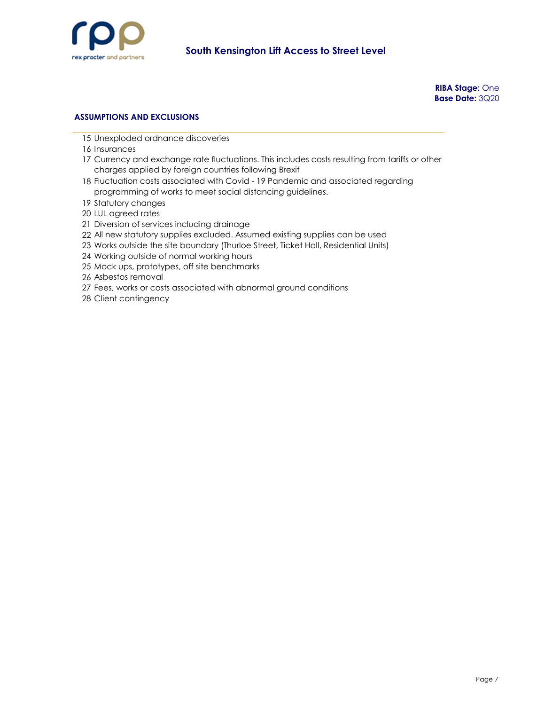

**RIBA Stage:** One **Base Date:** 3Q20

### **ASSUMPTIONS AND EXCLUSIONS**

- Unexploded ordnance discoveries
- Insurances
- Currency and exchange rate fluctuations. This includes costs resulting from tariffs or other charges applied by foreign countries following Brexit
- Fluctuation costs associated with Covid 19 Pandemic and associated regarding programming of works to meet social distancing guidelines.
- Statutory changes
- LUL agreed rates
- Diversion of services including drainage
- All new statutory supplies excluded. Assumed existing supplies can be used
- Works outside the site boundary (Thurloe Street, Ticket Hall, Residential Units)
- Working outside of normal working hours
- Mock ups, prototypes, off site benchmarks
- Asbestos removal
- Fees, works or costs associated with abnormal ground conditions
- Client contingency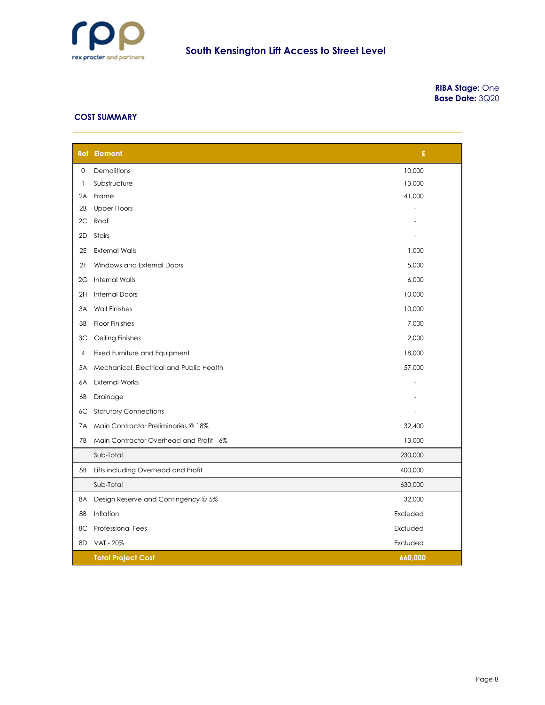

**RIBA Stage:** One **Base Date:** 3Q20

#### **COST SUMMARY**

|    | <b>Ref</b> Element                       | £        |  |
|----|------------------------------------------|----------|--|
| 0  | Demolitions                              | 10,000   |  |
| 1  | Substructure                             | 13,000   |  |
| 2A | Frame                                    | 41,000   |  |
| 2B | <b>Upper Floors</b>                      |          |  |
| 2C | Roof                                     |          |  |
| 2D | Stairs                                   |          |  |
| 2E | <b>External Walls</b>                    | 1,000    |  |
| 2F | Windows and External Doors               | 5,000    |  |
| 2G | <b>Internal Walls</b>                    | 6,000    |  |
| 2H | <b>Internal Doors</b>                    | 10,000   |  |
| ЗA | <b>Wall Finishes</b>                     | 10,000   |  |
| 3B | <b>Floor Finishes</b>                    | 7,000    |  |
| ЗС | <b>Ceiling Finishes</b>                  | 2,000    |  |
| 4  | Fixed Furniture and Equipment            | 18,000   |  |
| 5A | Mechanical, Electrical and Public Health | 57,000   |  |
| 6A | <b>External Works</b>                    |          |  |
| 6В | Drainage                                 |          |  |
| 6C | <b>Statutory Connections</b>             |          |  |
| 7A | Main Contractor Preliminaries @ 18%      | 32,400   |  |
| 7B | Main Contractor Overhead and Profit - 6% | 13,000   |  |
|    | Sub-Total                                | 230,000  |  |
| 5B | Lifts including Overhead and Profit      | 400,000  |  |
|    | Sub-Total                                | 630,000  |  |
| 8A | Design Reserve and Contingency @ 5%      | 32,000   |  |
| 8Β | Inflation                                | Excluded |  |
| 8С | <b>Professional Fees</b>                 | Excluded |  |
| 8D | VAT - 20%                                | Excluded |  |
|    | <b>Total Project Cost</b>                | 660,000  |  |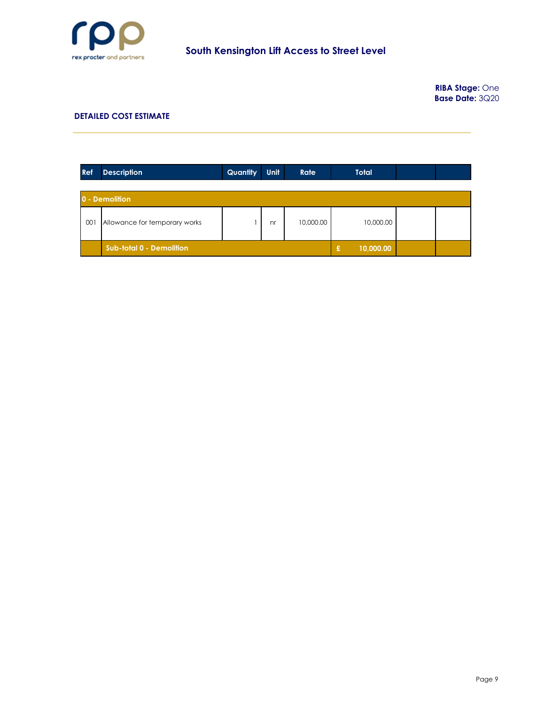

**RIBA Stage:** One **Base Date:** 3Q20

| Ref | <b>Description</b>            | Quantity | Unit | <b>Rate</b> | <b>Total</b>   |  |
|-----|-------------------------------|----------|------|-------------|----------------|--|
|     |                               |          |      |             |                |  |
|     | 0 - Demolition                |          |      |             |                |  |
| 001 | Allowance for temporary works |          | nr   | 10,000.00   | 10,000.00      |  |
|     | Sub-total 0 - Demolition      |          |      |             | 10,000.00<br>£ |  |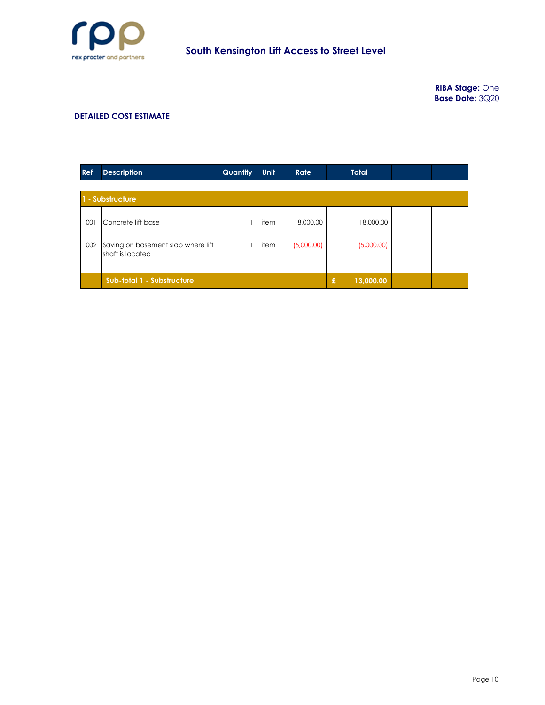

| <b>Ref</b> | <b>Description</b>                                     | Quantity       | <b>Unit</b> | Rate       | <b>Total</b> |  |
|------------|--------------------------------------------------------|----------------|-------------|------------|--------------|--|
|            |                                                        |                |             |            |              |  |
|            | 1 - Substructure                                       |                |             |            |              |  |
| 001        | Concrete lift base                                     |                | item        | 18,000.00  | 18,000.00    |  |
| 002        | Saving on basement slab where lift<br>shaft is located |                | item        | (5,000.00) | (5,000.00)   |  |
|            | Sub-total 1 - Substructure                             | £<br>13,000.00 |             |            |              |  |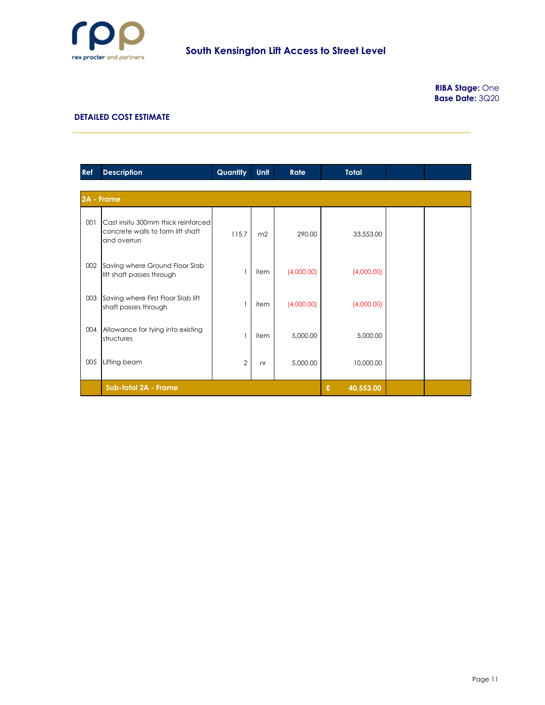

| Ref | <b>Description</b>                                                                     | Quantity       | <b>Unit</b>    | Rate       | <b>Total</b>   |  |
|-----|----------------------------------------------------------------------------------------|----------------|----------------|------------|----------------|--|
|     |                                                                                        |                |                |            |                |  |
|     | 2A - Frame                                                                             |                |                |            |                |  |
| 001 | Cast insitu 300mm thick reinforced<br>concrete walls to form lift shaft<br>and overrun | 115.7          | m <sub>2</sub> | 290.00     | 33,553.00      |  |
| 002 | Saving where Ground Floor Slab<br>lift shaft passes through                            | $\overline{1}$ | item           | (4,000.00) | (4,000.00)     |  |
| 003 | Saving where First Floor Slab lift<br>shaft passes through                             | $\mathbf{1}$   | item           | (4,000.00) | (4,000.00)     |  |
| 004 | Allowance for tying into existing<br>structures                                        | $\mathbf{1}$   | item           | 5,000.00   | 5,000.00       |  |
| 005 | Lifting beam                                                                           | $\overline{2}$ | nr             | 5,000.00   | 10,000.00      |  |
|     | Sub-total 2A - Frame                                                                   |                |                |            | £<br>40,553.00 |  |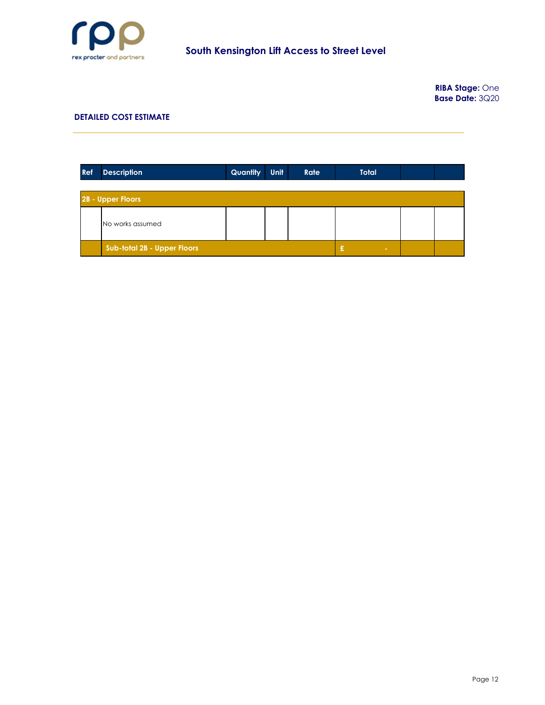

**RIBA Stage:** One **Base Date:** 3Q20

| Ref | <b>Description</b>                 | <b>Quantity</b> | <b>Unit</b> | Rate | <b>Total</b> |  |
|-----|------------------------------------|-----------------|-------------|------|--------------|--|
|     |                                    |                 |             |      |              |  |
|     | 2B - Upper Floors                  |                 |             |      |              |  |
|     | No works assumed                   |                 |             |      |              |  |
|     | <b>Sub-total 2B - Upper Floors</b> |                 |             |      | £            |  |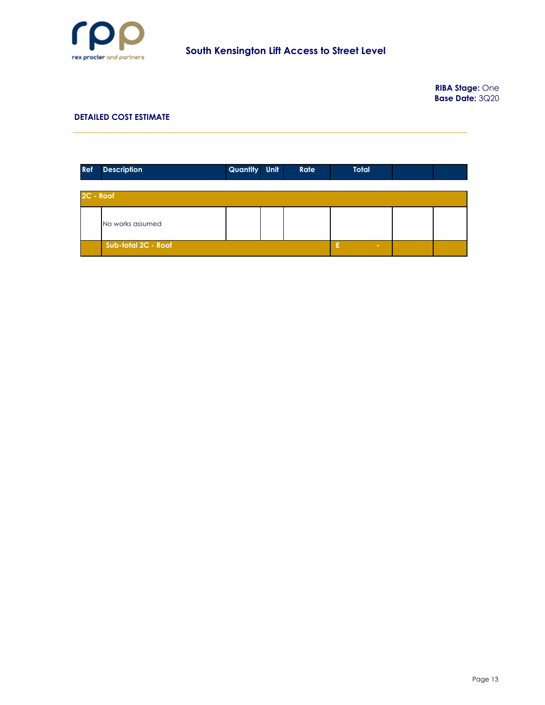

**RIBA Stage:** One **Base Date:** 3Q20

| <b>Ref</b> | <b>Description</b>  | Quantity Unit | Rate | <b>Total</b> |  |
|------------|---------------------|---------------|------|--------------|--|
| 2C - Roof  |                     |               |      |              |  |
|            | No works assumed    |               |      |              |  |
|            | Sub-total 2C - Roof |               |      | £            |  |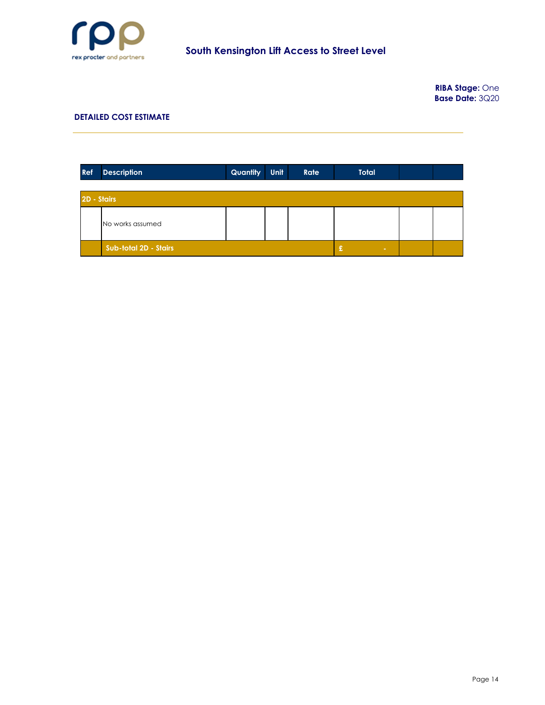

**RIBA Stage:** One **Base Date:** 3Q20

| <b>Ref</b>  | <b>Description</b>    | Quantity | Unit | Rate | <b>Total</b> |  |
|-------------|-----------------------|----------|------|------|--------------|--|
|             |                       |          |      |      |              |  |
| 2D - Stairs |                       |          |      |      |              |  |
|             | No works assumed      |          |      |      |              |  |
|             | Sub-total 2D - Stairs |          |      |      | £            |  |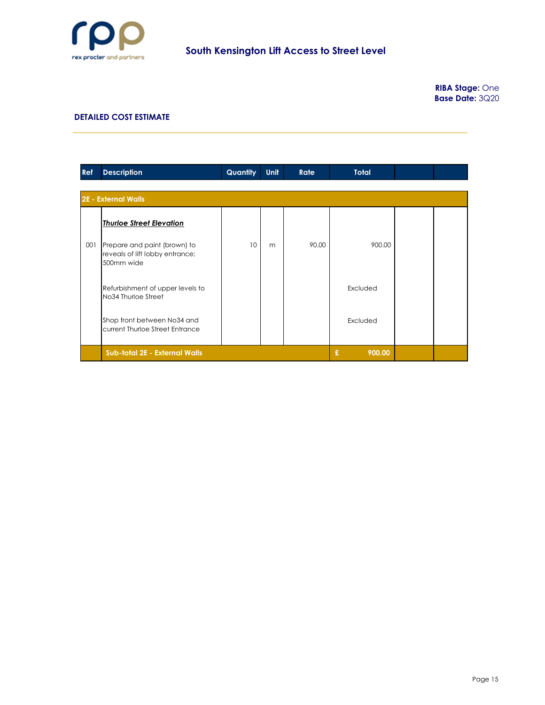

| Ref | <b>Description</b>                                                            | Quantity | <b>Unit</b> | <b>Rate</b> | <b>Total</b> |  |  |  |  |  |
|-----|-------------------------------------------------------------------------------|----------|-------------|-------------|--------------|--|--|--|--|--|
|     | <b>2E - External Walls</b>                                                    |          |             |             |              |  |  |  |  |  |
|     | <b>Thurloe Street Elevation</b>                                               |          |             |             |              |  |  |  |  |  |
| 001 | Prepare and paint (brown) to<br>reveals of lift lobby entrance;<br>500mm wide | 10       | m           | 90.00       | 900.00       |  |  |  |  |  |
|     | Refurbishment of upper levels to<br>No34 Thurloe Street                       |          |             |             | Excluded     |  |  |  |  |  |
|     | Shop front between No34 and<br>current Thurloe Street Entrance                |          |             |             | Excluded     |  |  |  |  |  |
|     | Sub-total 2E - External Walls                                                 |          |             |             | £<br>900.00  |  |  |  |  |  |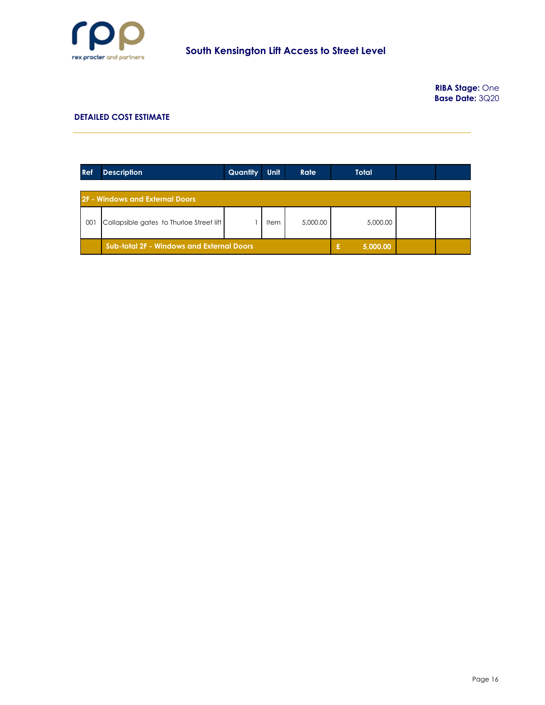

**RIBA Stage:** One **Base Date:** 3Q20

| <b>Ref</b> | <b>Description</b>                               | Quantity | <b>Unit</b> | <b>Rate</b> | <b>Total</b>  |  |
|------------|--------------------------------------------------|----------|-------------|-------------|---------------|--|
|            | 2F - Windows and External Doors                  |          |             |             |               |  |
| 001        | Collapsible gates to Thurloe Street lift         |          | <b>Item</b> | 5,000.00    | 5,000.00      |  |
|            | <b>Sub-total 2F - Windows and External Doors</b> |          |             |             | £<br>5,000.00 |  |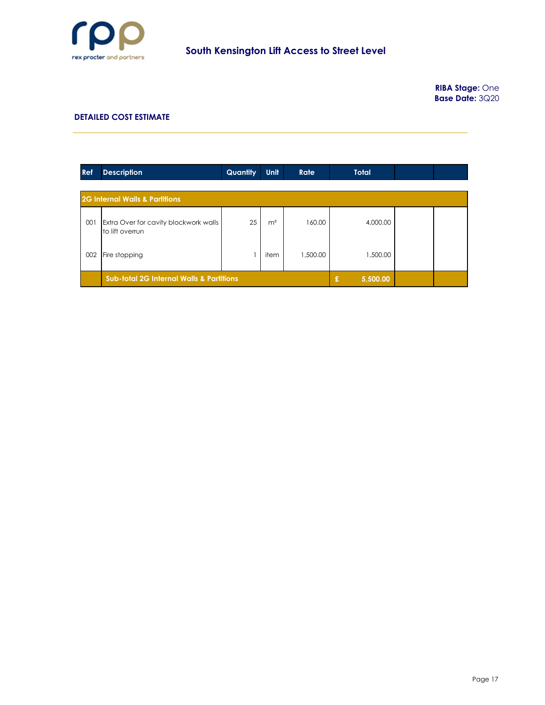

**RIBA Stage:** One **Base Date:** 3Q20

| <b>Ref</b> | <b>Description</b>                                       | Quantity      | <b>Unit</b>    | Rate     | <b>Total</b> |  |
|------------|----------------------------------------------------------|---------------|----------------|----------|--------------|--|
|            |                                                          |               |                |          |              |  |
|            | <b>2G Internal Walls &amp; Partitions</b>                |               |                |          |              |  |
| 001        | Extra Over for cavity blockwork walls<br>to lift overrun | 25            | m <sup>2</sup> | 160.00   | 4,000.00     |  |
| 002        | Fire stopping                                            |               | item           | 1,500.00 | 1,500.00     |  |
|            | <b>Sub-total 2G Internal Walls &amp; Partitions</b>      | £<br>5,500.00 |                |          |              |  |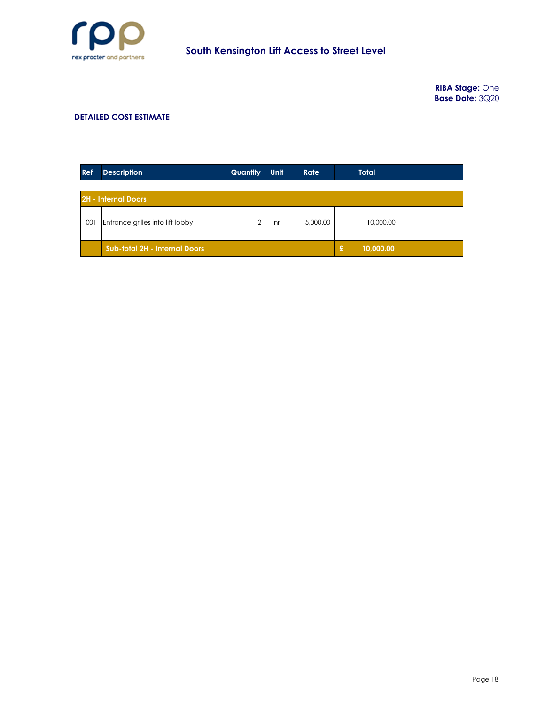

**RIBA Stage:** One **Base Date:** 3Q20

| Ref | <b>Description</b>                   | Quantity | Unit | Rate     | <b>Total</b>    |  |  |  |  |
|-----|--------------------------------------|----------|------|----------|-----------------|--|--|--|--|
|     |                                      |          |      |          |                 |  |  |  |  |
|     | <b>2H - Internal Doors</b>           |          |      |          |                 |  |  |  |  |
| 001 | Entrance grilles into lift lobby     |          | nr   | 5,000.00 | 10,000.00       |  |  |  |  |
|     | <b>Sub-total 2H - Internal Doors</b> |          |      |          | 10,000.00<br>£. |  |  |  |  |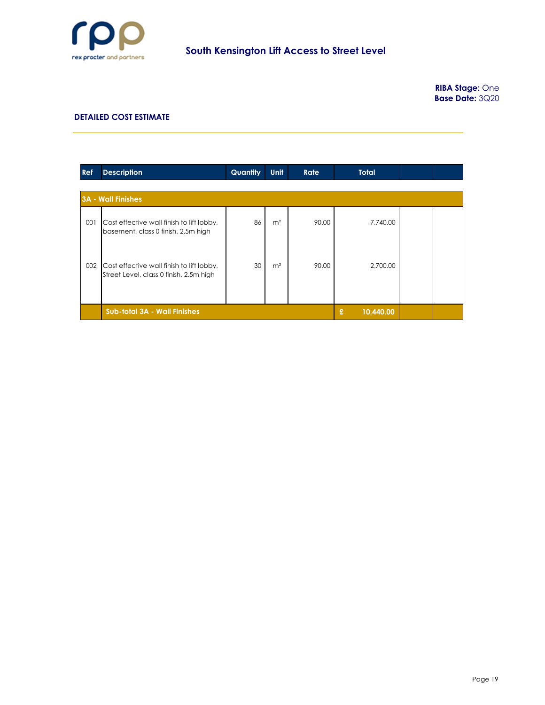

| Ref | <b>Description</b>                                                                   | Quantity       | Unit           | Rate  | <b>Total</b> |  |
|-----|--------------------------------------------------------------------------------------|----------------|----------------|-------|--------------|--|
|     |                                                                                      |                |                |       |              |  |
|     | <b>3A - Wall Finishes</b>                                                            |                |                |       |              |  |
| 001 | Cost effective wall finish to lift lobby,<br>basement, class 0 finish, 2.5m high     | 86             | m <sup>2</sup> | 90.00 | 7,740.00     |  |
| 002 | Cost effective wall finish to lift lobby,<br>Street Level, class 0 finish, 2.5m high | 30             | m <sup>2</sup> | 90.00 | 2,700.00     |  |
|     | <b>Sub-total 3A - Wall Finishes</b>                                                  | £<br>10,440.00 |                |       |              |  |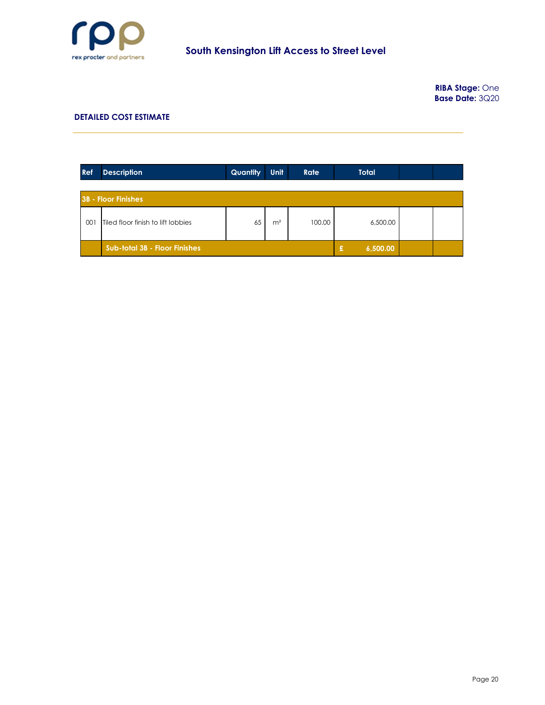

**RIBA Stage:** One **Base Date:** 3Q20

| <b>Ref</b> | <b>Description</b>                   | Quantity      | Unit           | <b>Rate</b> | <b>Total</b> |  |
|------------|--------------------------------------|---------------|----------------|-------------|--------------|--|
|            |                                      |               |                |             |              |  |
|            | <b>3B - Floor Finishes</b>           |               |                |             |              |  |
| 001        | Tiled floor finish to lift lobbies   | 65            | m <sup>2</sup> | 100.00      | 6,500.00     |  |
|            | <b>Sub-total 3B - Floor Finishes</b> | £<br>6,500.00 |                |             |              |  |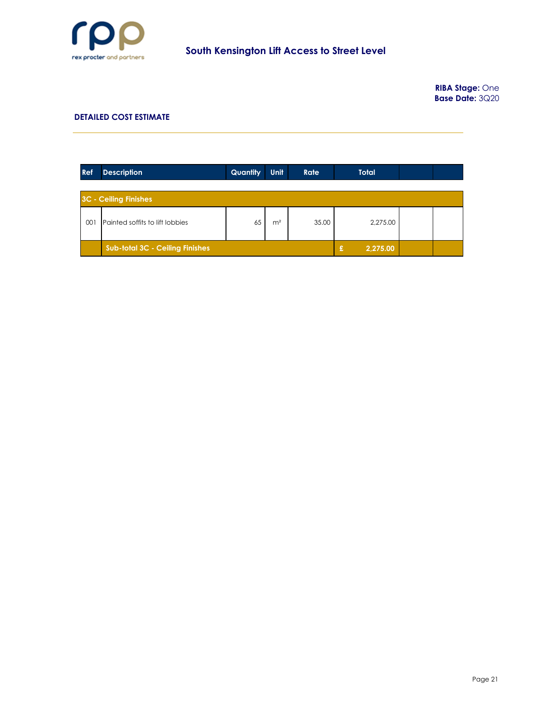

**RIBA Stage:** One **Base Date:** 3Q20

| <b>Ref</b> | <b>Description</b>                     | Quantity      | Unit           | <b>Rate</b> | <b>Total</b> |  |
|------------|----------------------------------------|---------------|----------------|-------------|--------------|--|
|            |                                        |               |                |             |              |  |
|            | <b>3C - Ceiling Finishes</b>           |               |                |             |              |  |
| 001        | Painted soffits to lift lobbies        | 65            | m <sup>2</sup> | 35.00       | 2,275.00     |  |
|            | <b>Sub-total 3C - Ceiling Finishes</b> | 2,275.00<br>£ |                |             |              |  |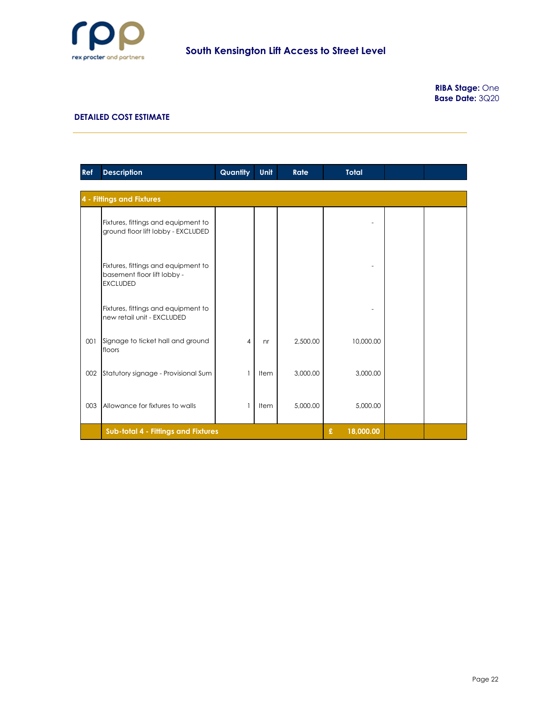

**RIBA Stage:** One **Base Date:** 3Q20

| <b>Ref</b> | <b>Description</b>                                                                    | Quantity       | Unit           | Rate     | <b>Total</b>   |  |  |  |  |  |  |
|------------|---------------------------------------------------------------------------------------|----------------|----------------|----------|----------------|--|--|--|--|--|--|
|            | <b>4 - Fittings and Fixtures</b>                                                      |                |                |          |                |  |  |  |  |  |  |
|            | Fixtures, fittings and equipment to<br>ground floor lift lobby - EXCLUDED             |                |                |          |                |  |  |  |  |  |  |
|            | Fixtures, fittings and equipment to<br>basement floor lift lobby -<br><b>EXCLUDED</b> |                |                |          |                |  |  |  |  |  |  |
|            | Fixtures, fittings and equipment to<br>new retail unit - EXCLUDED                     |                |                |          |                |  |  |  |  |  |  |
| 001        | Signage to ticket hall and ground<br>floors                                           | $\overline{4}$ | n <sub>r</sub> | 2,500.00 | 10,000.00      |  |  |  |  |  |  |
| 002        | Statutory signage - Provisional Sum                                                   | 1              | Item           | 3,000.00 | 3,000.00       |  |  |  |  |  |  |
| 003        | Allowance for fixtures to walls                                                       | $\mathbf{1}$   | Item           | 5,000.00 | 5,000.00       |  |  |  |  |  |  |
|            | Sub-total 4 - Fittings and Fixtures                                                   |                |                |          | £<br>18,000.00 |  |  |  |  |  |  |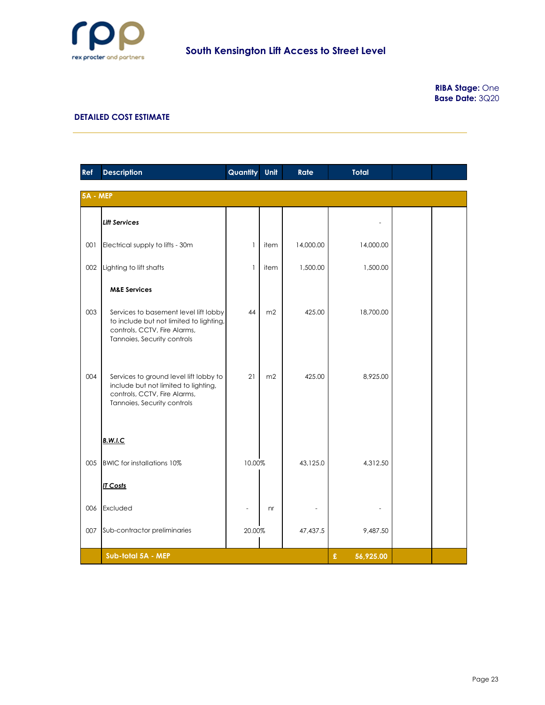

| Ref      | <b>Description</b>                                                                                                                              | Quantity     | Unit           | Rate      | <b>Total</b>   |  |
|----------|-------------------------------------------------------------------------------------------------------------------------------------------------|--------------|----------------|-----------|----------------|--|
| 5A - MEP |                                                                                                                                                 |              |                |           |                |  |
|          | <b>Lift Services</b>                                                                                                                            |              |                |           |                |  |
| 001      | Electrical supply to lifts - 30m                                                                                                                | $\mathbf{I}$ | item           | 14,000.00 | 14,000.00      |  |
| 002      | Lighting to lift shafts                                                                                                                         | 1            | item           | 1,500.00  | 1,500.00       |  |
|          | <b>M&amp;E Services</b>                                                                                                                         |              |                |           |                |  |
| 003      | Services to basement level lift lobby<br>to include but not limited to lighting,<br>controls, CCTV, Fire Alarms,<br>Tannoies, Security controls | 44           | m <sub>2</sub> | 425.00    | 18,700.00      |  |
| 004      | Services to ground level lift lobby to<br>include but not limited to lighting,<br>controls, CCTV, Fire Alarms,<br>Tannoies, Security controls   | 21           | m2             | 425.00    | 8,925.00       |  |
|          | <b>B.W.I.C</b>                                                                                                                                  |              |                |           |                |  |
| 005      | BWIC for installations 10%                                                                                                                      | 10.00%       |                | 43,125.0  | 4,312.50       |  |
|          | <b>IT Costs</b>                                                                                                                                 |              |                |           |                |  |
| 006      | Excluded                                                                                                                                        |              | n <b>r</b>     |           |                |  |
| 007      | Sub-contractor preliminaries                                                                                                                    | 20.00%       |                | 47,437.5  | 9,487.50       |  |
|          | Sub-total 5A - MEP                                                                                                                              |              |                |           | £<br>56,925.00 |  |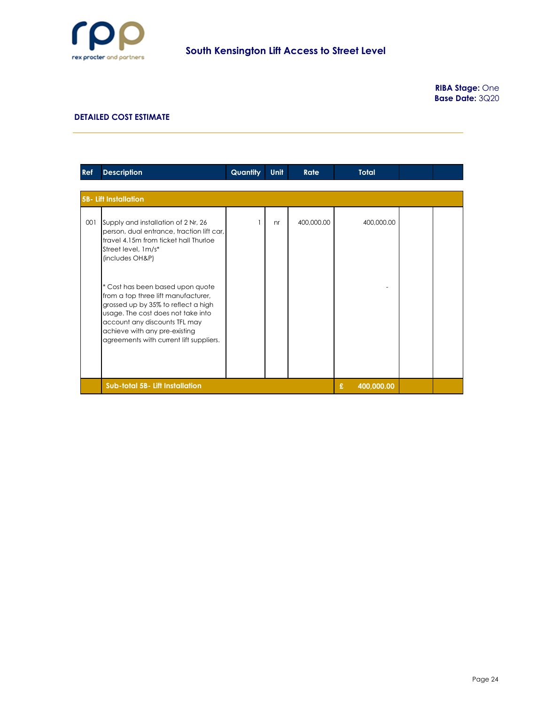

**RIBA Stage:** One **Base Date:** 3Q20

| <b>Ref</b> | <b>Description</b>                                                                                                                                                                                                                                                | <b>Quantity</b> | Unit | <b>Rate</b> | <b>Total</b>    |  |
|------------|-------------------------------------------------------------------------------------------------------------------------------------------------------------------------------------------------------------------------------------------------------------------|-----------------|------|-------------|-----------------|--|
|            |                                                                                                                                                                                                                                                                   |                 |      |             |                 |  |
|            | <b>5B- Lift Installation</b>                                                                                                                                                                                                                                      |                 |      |             |                 |  |
| 001        | Supply and installation of 2 Nr, 26<br>person, dual entrance, traction lift car,<br>travel 4.15m from ticket hall Thurloe<br>Street level, 1m/s*<br>(includes OH&P)                                                                                               |                 | nr   | 400,000.00  | 400,000.00      |  |
|            | * Cost has been based upon quote<br>from a top three lift manufacturer,<br>grossed up by 35% to reflect a high<br>usage. The cost does not take into<br>account any discounts TFL may<br>achieve with any pre-existing<br>agreements with current lift suppliers. |                 |      |             |                 |  |
|            | Sub-total 5B- Lift Installation                                                                                                                                                                                                                                   |                 |      |             | £<br>400,000.00 |  |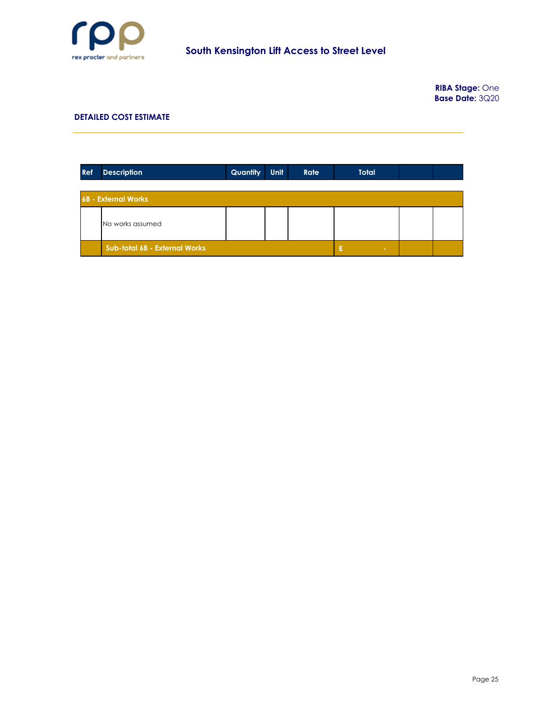

**RIBA Stage:** One **Base Date:** 3Q20

| Ref | <b>Description</b>            | <b>Quantity</b> | <b>Unit</b> | Rate | <b>Total</b> |  |  |  |  |  |
|-----|-------------------------------|-----------------|-------------|------|--------------|--|--|--|--|--|
|     | <b>6B - External Works</b>    |                 |             |      |              |  |  |  |  |  |
|     | No works assumed              |                 |             |      |              |  |  |  |  |  |
|     | Sub-total 6B - External Works | £<br><b>COL</b> |             |      |              |  |  |  |  |  |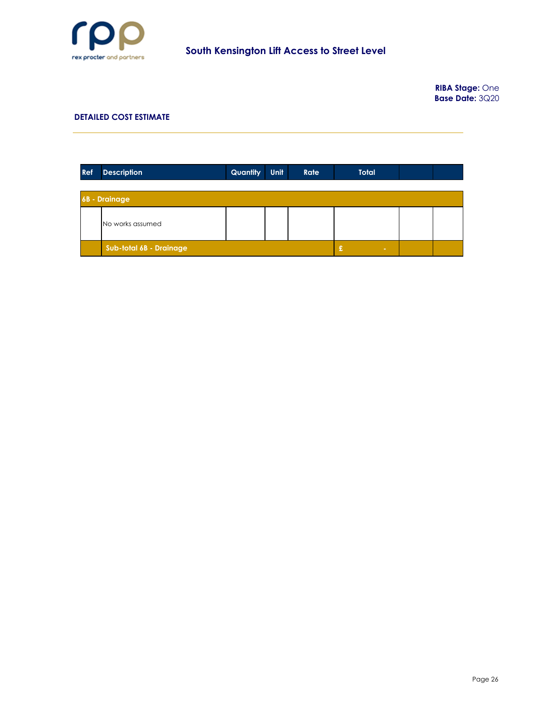

**RIBA Stage:** One **Base Date:** 3Q20

| Ref | <b>Description</b>      | Quantity | <b>Unit</b> | Rate | <b>Total</b> |  |  |  |  |  |
|-----|-------------------------|----------|-------------|------|--------------|--|--|--|--|--|
|     |                         |          |             |      |              |  |  |  |  |  |
|     | <b>6B</b> - Drainage    |          |             |      |              |  |  |  |  |  |
|     | No works assumed        |          |             |      |              |  |  |  |  |  |
|     | Sub-total 6B - Drainage | £        |             |      |              |  |  |  |  |  |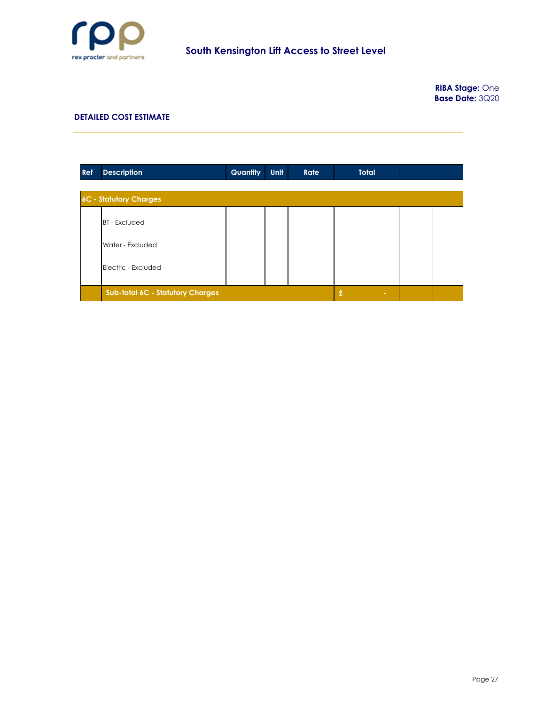

| Ref | <b>Description</b>               | Quantity    | <b>Unit</b> | Rate | <b>Total</b> |  |
|-----|----------------------------------|-------------|-------------|------|--------------|--|
|     |                                  |             |             |      |              |  |
|     | 6C - Statutory Charges           |             |             |      |              |  |
|     | <b>BT</b> - Excluded             |             |             |      |              |  |
|     | Water - Excluded                 |             |             |      |              |  |
|     | Electric - Excluded              |             |             |      |              |  |
|     | Sub-total 6C - Statutory Charges | £<br>$\sim$ |             |      |              |  |